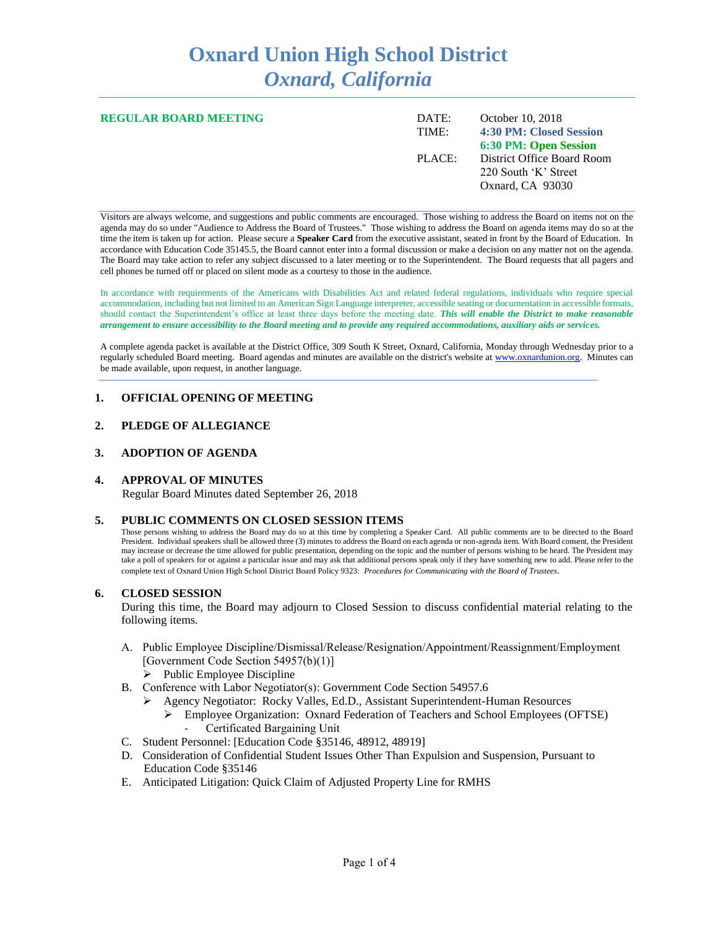# **Oxnard Union High School District** *Oxnard, California*

| REGULAR BOARD MEETING | DATE:<br>TIME: | October 10, 2018<br>4:30 PM: Closed Session        |
|-----------------------|----------------|----------------------------------------------------|
|                       |                | 6:30 PM: Open Session                              |
|                       | PLACE:         | District Office Board Room<br>220 South 'K' Street |
|                       |                | Oxnard, CA 93030                                   |
|                       |                |                                                    |

Visitors are always welcome, and suggestions and public comments are encouraged. Those wishing to address the Board on items not on the agenda may do so under "Audience to Address the Board of Trustees." Those wishing to address the Board on agenda items may do so at the time the item is taken up for action. Please secure a **Speaker Card** from the executive assistant, seated in front by the Board of Education. In accordance with Education Code 35145.5, the Board cannot enter into a formal discussion or make a decision on any matter not on the agenda. The Board may take action to refer any subject discussed to a later meeting or to the Superintendent. The Board requests that all pagers and cell phones be turned off or placed on silent mode as a courtesy to those in the audience.

In accordance with requirements of the Americans with Disabilities Act and related federal regulations, individuals who require special accommodation, including but not limited to an American Sign Language interpreter, accessible seating or documentation in accessible formats, should contact the Superintendent's office at least three days before the meeting date. *This will enable the District to make reasonable arrangement to ensure accessibility to the Board meeting and to provide any required accommodations, auxiliary aids or services.* 

A complete agenda packet is available at the District Office, 309 South K Street, Oxnard, California, Monday through Wednesday prior to a regularly scheduled Board meeting. Board agendas and minutes are available on the district's website a[t www.ox](http://www.o/)nardunion.org.Minutes can be made available, upon request, in another language.

# **1. OFFICIAL OPENING OF MEETING**

# **2. PLEDGE OF ALLEGIANCE**

#### **3. ADOPTION OF AGENDA**

# **4. APPROVAL OF MINUTES**

Regular Board Minutes dated September 26, 2018

#### **5. PUBLIC COMMENTS ON CLOSED SESSION ITEMS**

Those persons wishing to address the Board may do so at this time by completing a Speaker Card. All public comments are to be directed to the Board President. Individual speakers shall be allowed three (3) minutes to address the Board on each agenda or non-agenda item. With Board consent, the President may increase or decrease the time allowed for public presentation, depending on the topic and the number of persons wishing to be heard. The President may take a poll of speakers for or against a particular issue and may ask that additional persons speak only if they have something new to add. Please refer to the complete text of Oxnard Union High School District Board Policy 9323: *Procedures for Communicating with the Board of Trustees*.

#### **6. CLOSED SESSION**

During this time, the Board may adjourn to Closed Session to discuss confidential material relating to the following items.

- A. Public Employee Discipline/Dismissal/Release/Resignation/Appointment/Reassignment/Employment [Government Code Section 54957(b)(1)]
	- $\triangleright$  Public Employee Discipline
- B. Conference with Labor Negotiator(s): Government Code Section 54957.6
	- ➢ Agency Negotiator: Rocky Valles, Ed.D., Assistant Superintendent-Human Resources
		- ➢ Employee Organization: Oxnard Federation of Teachers and School Employees (OFTSE) Certificated Bargaining Unit
- C. Student Personnel: [Education Code §35146, 48912, 48919]
- D. Consideration of Confidential Student Issues Other Than Expulsion and Suspension, Pursuant to Education Code §35146
- E. Anticipated Litigation: Quick Claim of Adjusted Property Line for RMHS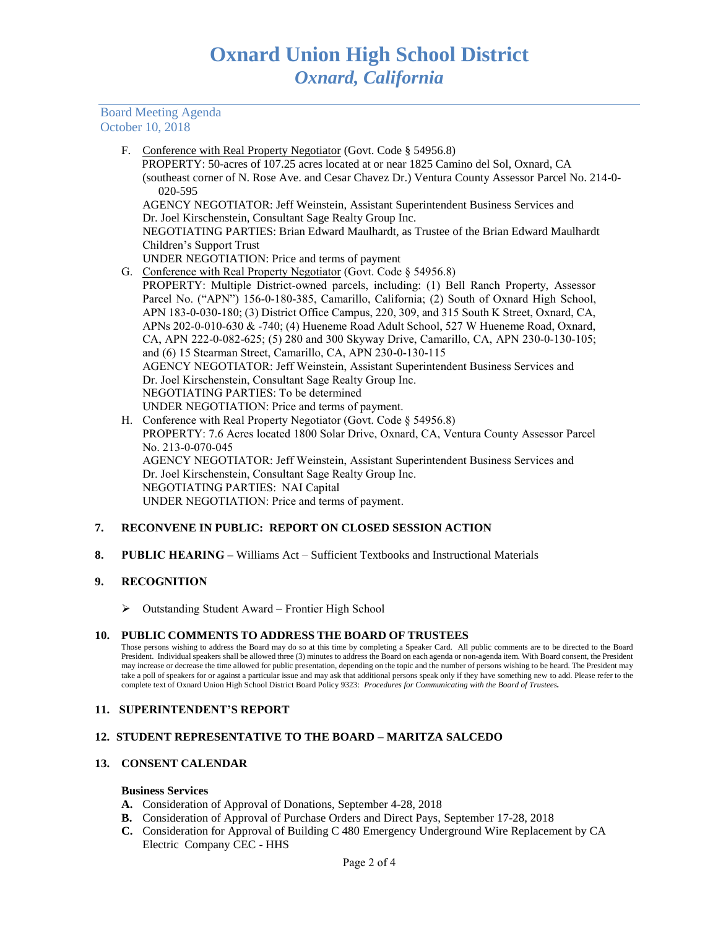Board Meeting Agenda October 10, 2018

F. Conference with Real Property Negotiator (Govt. Code § 54956.8)

 PROPERTY: 50-acres of 107.25 acres located at or near 1825 Camino del Sol, Oxnard, CA (southeast corner of N. Rose Ave. and Cesar Chavez Dr.) Ventura County Assessor Parcel No. 214-0- 020-595

AGENCY NEGOTIATOR: Jeff Weinstein, Assistant Superintendent Business Services and Dr. Joel Kirschenstein, Consultant Sage Realty Group Inc.

NEGOTIATING PARTIES: Brian Edward Maulhardt, as Trustee of the Brian Edward Maulhardt Children's Support Trust

- UNDER NEGOTIATION: Price and terms of payment
- G. Conference with Real Property Negotiator (Govt. Code § 54956.8)
- PROPERTY: Multiple District-owned parcels, including: (1) Bell Ranch Property, Assessor Parcel No. ("APN") 156-0-180-385, Camarillo, California; (2) South of Oxnard High School, APN 183-0-030-180; (3) District Office Campus, 220, 309, and 315 South K Street, Oxnard, CA, APNs 202-0-010-630 & -740; (4) Hueneme Road Adult School, 527 W Hueneme Road, Oxnard, CA, APN 222-0-082-625; (5) 280 and 300 Skyway Drive, Camarillo, CA, APN 230-0-130-105; and (6) 15 Stearman Street, Camarillo, CA, APN 230-0-130-115 AGENCY NEGOTIATOR: Jeff Weinstein, Assistant Superintendent Business Services and Dr. Joel Kirschenstein, Consultant Sage Realty Group Inc. NEGOTIATING PARTIES: To be determined UNDER NEGOTIATION: Price and terms of payment.
- H. Conference with Real Property Negotiator (Govt. Code § 54956.8) PROPERTY: 7.6 Acres located 1800 Solar Drive, Oxnard, CA, Ventura County Assessor Parcel No. 213-0-070-045 AGENCY NEGOTIATOR: Jeff Weinstein, Assistant Superintendent Business Services and Dr. Joel Kirschenstein, Consultant Sage Realty Group Inc. NEGOTIATING PARTIES: NAI Capital UNDER NEGOTIATION: Price and terms of payment.

# **7. RECONVENE IN PUBLIC: REPORT ON CLOSED SESSION ACTION**

**8. PUBLIC HEARING –** Williams Act – Sufficient Textbooks and Instructional Materials

# **9. RECOGNITION**

➢ Outstanding Student Award – Frontier High School

#### **10. PUBLIC COMMENTS TO ADDRESS THE BOARD OF TRUSTEES**

Those persons wishing to address the Board may do so at this time by completing a Speaker Card. All public comments are to be directed to the Board President. Individual speakers shall be allowed three (3) minutes to address the Board on each agenda or non-agenda item. With Board consent, the President may increase or decrease the time allowed for public presentation, depending on the topic and the number of persons wishing to be heard. The President may take a poll of speakers for or against a particular issue and may ask that additional persons speak only if they have something new to add. Please refer to the complete text of Oxnard Union High School District Board Policy 9323: *Procedures for Communicating with the Board of Trustees.*

#### **11. SUPERINTENDENT'S REPORT**

# **12. STUDENT REPRESENTATIVE TO THE BOARD – MARITZA SALCEDO**

# **13. CONSENT CALENDAR**

#### **Business Services**

- **A.** Consideration of Approval of Donations, September 4-28, 2018
- **B.** Consideration of Approval of Purchase Orders and Direct Pays, September 17-28, 2018
- **C.** Consideration for Approval of Building C 480 Emergency Underground Wire Replacement by CA Electric Company CEC - HHS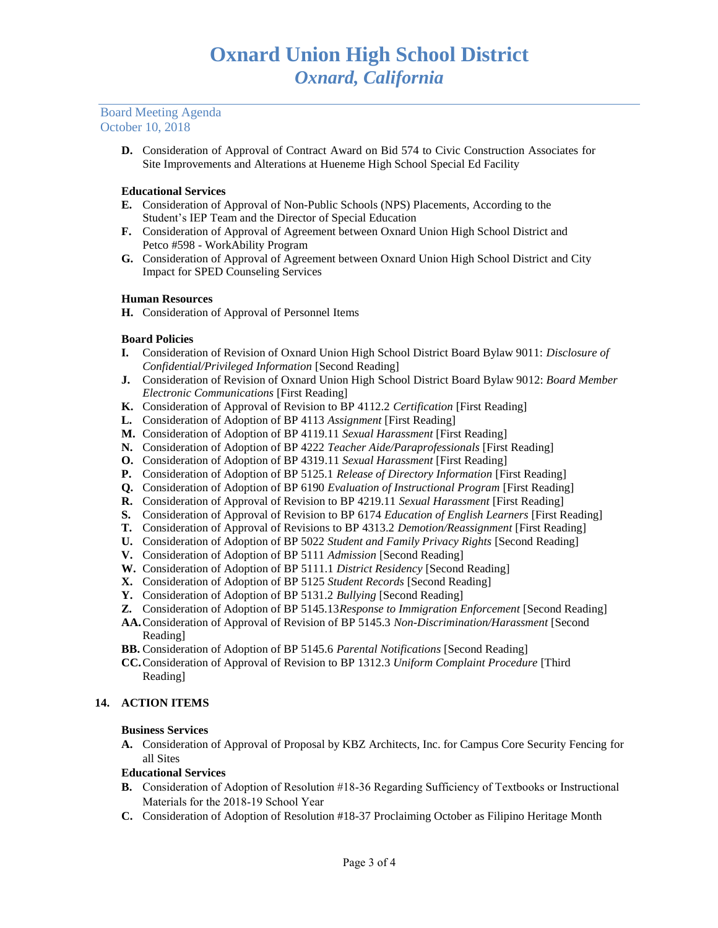#### Board Meeting Agenda October 10, 2018

**D.** Consideration of Approval of Contract Award on Bid 574 to Civic Construction Associates for Site Improvements and Alterations at Hueneme High School Special Ed Facility

# **Educational Services**

- **E.** Consideration of Approval of Non-Public Schools (NPS) Placements, According to the Student's IEP Team and the Director of Special Education
- **F.** Consideration of Approval of Agreement between Oxnard Union High School District and Petco #598 - WorkAbility Program
- **G.** Consideration of Approval of Agreement between Oxnard Union High School District and City Impact for SPED Counseling Services

# **Human Resources**

**H.** Consideration of Approval of Personnel Items

# **Board Policies**

- **I.** Consideration of Revision of Oxnard Union High School District Board Bylaw 9011: *Disclosure of Confidential/Privileged Information* [Second Reading]
- **J.** Consideration of Revision of Oxnard Union High School District Board Bylaw 9012: *Board Member Electronic Communications* [First Reading]
- **K.** Consideration of Approval of Revision to BP 4112.2 *Certification* [First Reading]
- **L.** Consideration of Adoption of BP 4113 *Assignment* [First Reading]
- **M.** Consideration of Adoption of BP 4119.11 *Sexual Harassment* [First Reading]
- **N.** Consideration of Adoption of BP 4222 *Teacher Aide/Paraprofessionals* [First Reading]
- **O.** Consideration of Adoption of BP 4319.11 *Sexual Harassment* [First Reading]
- **P.** Consideration of Adoption of BP 5125.1 *Release of Directory Information* [First Reading]
- **Q.** Consideration of Adoption of BP 6190 *Evaluation of Instructional Program* [First Reading]
- **R.** Consideration of Approval of Revision to BP 4219.11 *Sexual Harassment* [First Reading]
- **S.** Consideration of Approval of Revision to BP 6174 *Education of English Learners* [First Reading]
- **T.** Consideration of Approval of Revisions to BP 4313.2 *Demotion/Reassignment* [First Reading]
- **U.** Consideration of Adoption of BP 5022 *Student and Family Privacy Rights* [Second Reading]
- **V.** Consideration of Adoption of BP 5111 *Admission* [Second Reading]
- **W.** Consideration of Adoption of BP 5111.1 *District Residency* [Second Reading]
- **X.** Consideration of Adoption of BP 5125 *Student Records* [Second Reading]
- **Y.** Consideration of Adoption of BP 5131.2 *Bullying* [Second Reading]
- **Z.** Consideration of Adoption of BP 5145.13*Response to Immigration Enforcement* [Second Reading]
- **AA.**Consideration of Approval of Revision of BP 5145.3 *Non-Discrimination/Harassment* [Second Reading]
- **BB.** Consideration of Adoption of BP 5145.6 *Parental Notifications* [Second Reading]
- **CC.**Consideration of Approval of Revision to BP 1312.3 *Uniform Complaint Procedure* [Third Reading]

# **14. ACTION ITEMS**

# **Business Services**

**A.** Consideration of Approval of Proposal by KBZ Architects, Inc. for Campus Core Security Fencing for all Sites

# **Educational Services**

- **B.** Consideration of Adoption of Resolution #18-36 Regarding Sufficiency of Textbooks or Instructional Materials for the 2018-19 School Year
- **C.** Consideration of Adoption of Resolution #18-37 Proclaiming October as Filipino Heritage Month